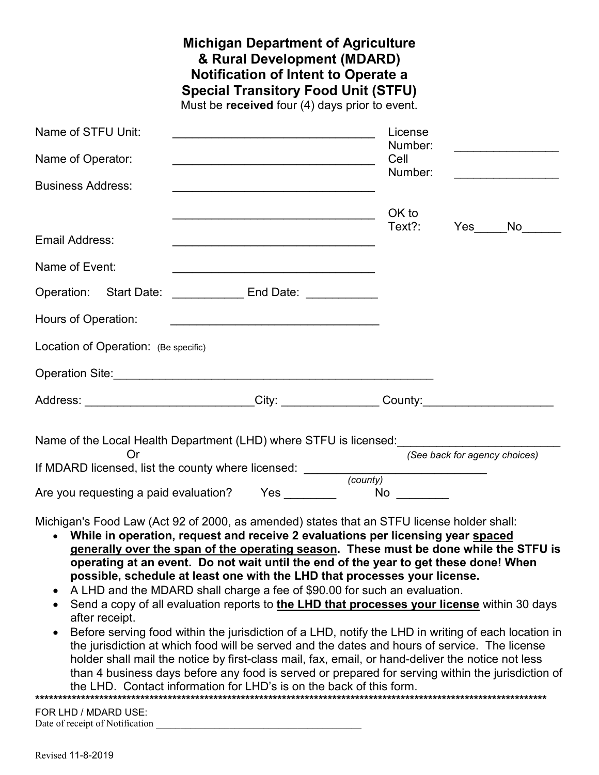|                                                                                                                                                                                                                                      | <b>Michigan Department of Agriculture</b><br>& Rural Development (MDARD)<br>Notification of Intent to Operate a<br><b>Special Transitory Food Unit (STFU)</b><br>Must be received four (4) days prior to event. |                                         |                               |
|--------------------------------------------------------------------------------------------------------------------------------------------------------------------------------------------------------------------------------------|-----------------------------------------------------------------------------------------------------------------------------------------------------------------------------------------------------------------|-----------------------------------------|-------------------------------|
| Name of STFU Unit:                                                                                                                                                                                                                   |                                                                                                                                                                                                                 | License                                 |                               |
| Name of Operator:                                                                                                                                                                                                                    | <u> 1989 - Johann Barbara, martxa alemaniar amerikan basar da da a shekara a shekara a shekara a shekara a shekar</u>                                                                                           | Number:<br>Cell                         |                               |
| <b>Business Address:</b>                                                                                                                                                                                                             | <u> 1989 - Johann Stein, marwolaethau a bhann an t-Amhair an t-Amhair an t-Amhair an t-Amhair an t-Amhair an t-A</u>                                                                                            | Number:                                 |                               |
|                                                                                                                                                                                                                                      |                                                                                                                                                                                                                 | OK to                                   |                               |
| Email Address:                                                                                                                                                                                                                       |                                                                                                                                                                                                                 | Text?:                                  | Yes<br>No lim                 |
| Name of Event:                                                                                                                                                                                                                       |                                                                                                                                                                                                                 |                                         |                               |
| Operation: Start Date: __________ End Date: _________                                                                                                                                                                                |                                                                                                                                                                                                                 |                                         |                               |
| Hours of Operation:                                                                                                                                                                                                                  |                                                                                                                                                                                                                 |                                         |                               |
| Location of Operation: (Be specific)                                                                                                                                                                                                 |                                                                                                                                                                                                                 |                                         |                               |
| Operation Site: <b>Manual Contract Contract Contract Contract Contract Contract Contract Contract Contract Contract Contract Contract Contract Contract Contract Contract Contract Contract Contract Contract Contract Contract </b> |                                                                                                                                                                                                                 |                                         |                               |
| Address: __________________________City: _______________County: ________________                                                                                                                                                     |                                                                                                                                                                                                                 |                                         |                               |
| Name of the Local Health Department (LHD) where STFU is licensed:                                                                                                                                                                    |                                                                                                                                                                                                                 |                                         |                               |
|                                                                                                                                                                                                                                      |                                                                                                                                                                                                                 |                                         | (See back for agency choices) |
| Are you requesting a paid evaluation?                                                                                                                                                                                                |                                                                                                                                                                                                                 | $Yes \qquad \qquad \qquad \qquad$<br>No |                               |
| Michigan's Food Law (Act 92 of 2000, as amended) states that an STFU license holder shall:                                                                                                                                           |                                                                                                                                                                                                                 |                                         |                               |

- **While in operation, request and receive 2 evaluations per licensing year spaced generally over the span of the operating season. These must be done while the STFU is operating at an event. Do not wait until the end of the year to get these done! When possible, schedule at least one with the LHD that processes your license.**
- A LHD and the MDARD shall charge a fee of \$90.00 for such an evaluation.
- Send a copy of all evaluation reports to **the LHD that processes your license** within 30 days after receipt.
- Before serving food within the jurisdiction of a LHD, notify the LHD in writing of each location in the jurisdiction at which food will be served and the dates and hours of service. The license holder shall mail the notice by first-class mail, fax, email, or hand-deliver the notice not less than 4 business days before any food is served or prepared for serving within the jurisdiction of the LHD. Contact information for LHD's is on the back of this form. **\*\*\*\*\*\*\*\*\*\*\*\*\*\*\*\*\*\*\*\*\*\*\*\*\*\*\*\*\*\*\*\*\*\*\*\*\*\*\*\*\*\*\*\*\*\*\*\*\*\*\*\*\*\*\*\*\*\*\*\*\*\*\*\*\*\*\*\*\*\*\*\*\*\*\*\*\*\*\*\*\*\*\*\*\*\*\*\*\*\*\*\*\*\*\*\*\*\*\*\*\*\*\*\*\*\*\*\*\*\*\*\***

FOR LHD / MDARD USE: Date of receipt of Notification